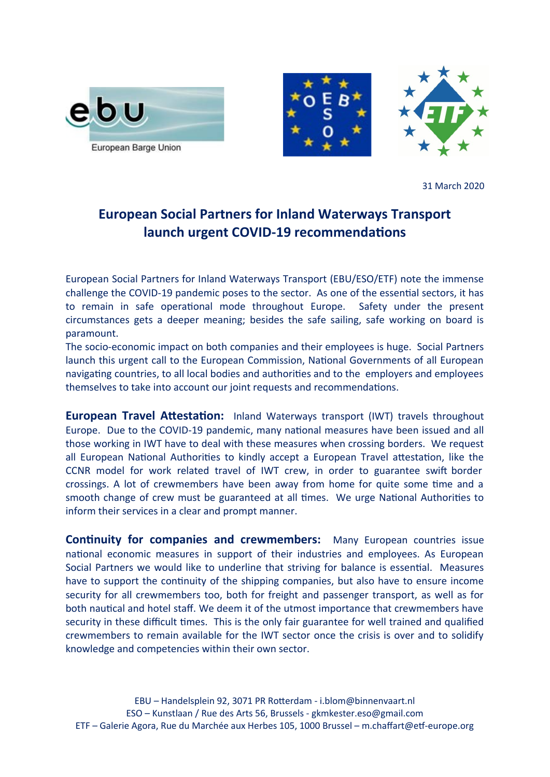



31 March 2020

## **European Social Partners for Inland Waterways Transport launch urgent COVID-19 recommendatons**

European Social Partners for Inland Waterways Transport (EBU/ESO/ETF) note the immense challenge the COVID-19 pandemic poses to the sector. As one of the essental sectors, it has to remain in safe operational mode throughout Europe. Safety under the present circumstances gets a deeper meaning; besides the safe sailing, safe working on board is paramount.

The socio-economic impact on both companies and their employees is huge. Social Partners launch this urgent call to the European Commission, National Governments of all European navigating countries, to all local bodies and authorities and to the employers and employees themselves to take into account our joint requests and recommendatons.

**European Travel Attestation:** Inland Waterways transport (IWT) travels throughout Europe. Due to the COVID-19 pandemic, many natonal measures have been issued and all those working in IWT have to deal with these measures when crossing borders. We request all European National Authorities to kindly accept a European Travel attestation, like the CCNR model for work related travel of IWT crew, in order to guarantee swift border crossings. A lot of crewmembers have been away from home for quite some tme and a smooth change of crew must be guaranteed at all times. We urge National Authorities to inform their services in a clear and prompt manner.

**Continuity for companies and crewmembers:** Many European countries issue national economic measures in support of their industries and employees. As European Social Partners we would like to underline that striving for balance is essential. Measures have to support the continuity of the shipping companies, but also have to ensure income security for all crewmembers too, both for freight and passenger transport, as well as for both nautical and hotel staff. We deem it of the utmost importance that crewmembers have security in these difficult times. This is the only fair guarantee for well trained and qualified crewmembers to remain available for the IWT sector once the crisis is over and to solidify knowledge and competencies within their own sector.